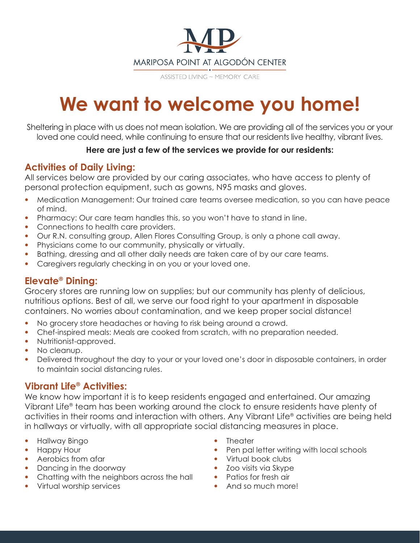

ASSISTED LIVING ~ MEMORY CARE

# **We want to welcome you home!**

Sheltering in place with us does not mean isolation. We are providing all of the services you or your loved one could need, while continuing to ensure that our residents live healthy, vibrant lives.

#### **Here are just a few of the services we provide for our residents:**

# **Activities of Daily Living:**

All services below are provided by our caring associates, who have access to plenty of personal protection equipment, such as gowns, N95 masks and gloves.

- Medication Management: Our trained care teams oversee medication, so you can have peace of mind.
- Pharmacy: Our care team handles this, so you won't have to stand in line.
- Connections to health care providers.
- Our R.N. consulting group, Allen Flores Consulting Group, is only a phone call away.
- Physicians come to our community, physically or virtually.
- Bathing, dressing and all other daily needs are taken care of by our care teams.
- Caregivers regularly checking in on you or your loved one.

## **Elevate® Dining:**

Grocery stores are running low on supplies; but our community has plenty of delicious, nutritious options. Best of all, we serve our food right to your apartment in disposable containers. No worries about contamination, and we keep proper social distance!

- No grocery store headaches or having to risk being around a crowd.
- Chef-inspired meals: Meals are cooked from scratch, with no preparation needed.
- Nutritionist-approved.
- No cleanup.
- Delivered throughout the day to your or your loved one's door in disposable containers, in order to maintain social distancing rules.

## **Vibrant Life® Activities:**

We know how important it is to keep residents engaged and entertained. Our amazing Vibrant Life® team has been working around the clock to ensure residents have plenty of activities in their rooms and interaction with others. Any Vibrant Life® activities are being held in hallways or virtually, with all appropriate social distancing measures in place.

- Hallway Bingo
- Happy Hour
- Aerobics from afar
- Dancing in the doorway
- Chatting with the neighbors across the hall
- Virtual worship services
- Theater
- Pen pal letter writing with local schools
- Virtual book clubs
- Zoo visits via Skype
- Patios for fresh air
- And so much more!